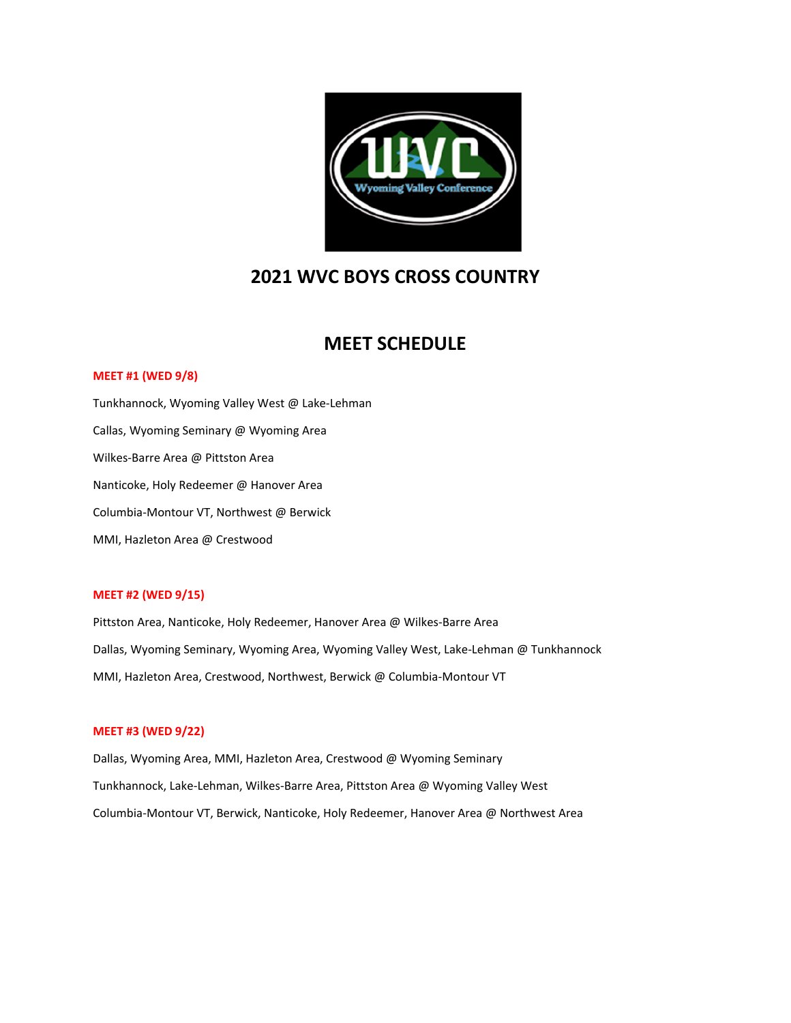

### **2021 WVC BOYS CROSS COUNTRY**

### **MEET SCHEDULE**

#### **MEET #1 (WED 9/8)**

Tunkhannock, Wyoming Valley West @ Lake‐Lehman Callas, Wyoming Seminary @ Wyoming Area Wilkes‐Barre Area @ Pittston Area Nanticoke, Holy Redeemer @ Hanover Area Columbia‐Montour VT, Northwest @ Berwick MMI, Hazleton Area @ Crestwood

#### **MEET #2 (WED 9/15)**

Pittston Area, Nanticoke, Holy Redeemer, Hanover Area @ Wilkes‐Barre Area Dallas, Wyoming Seminary, Wyoming Area, Wyoming Valley West, Lake-Lehman @ Tunkhannock MMI, Hazleton Area, Crestwood, Northwest, Berwick @ Columbia‐Montour VT

#### **MEET #3 (WED 9/22)**

Dallas, Wyoming Area, MMI, Hazleton Area, Crestwood @ Wyoming Seminary Tunkhannock, Lake‐Lehman, Wilkes‐Barre Area, Pittston Area @ Wyoming Valley West Columbia‐Montour VT, Berwick, Nanticoke, Holy Redeemer, Hanover Area @ Northwest Area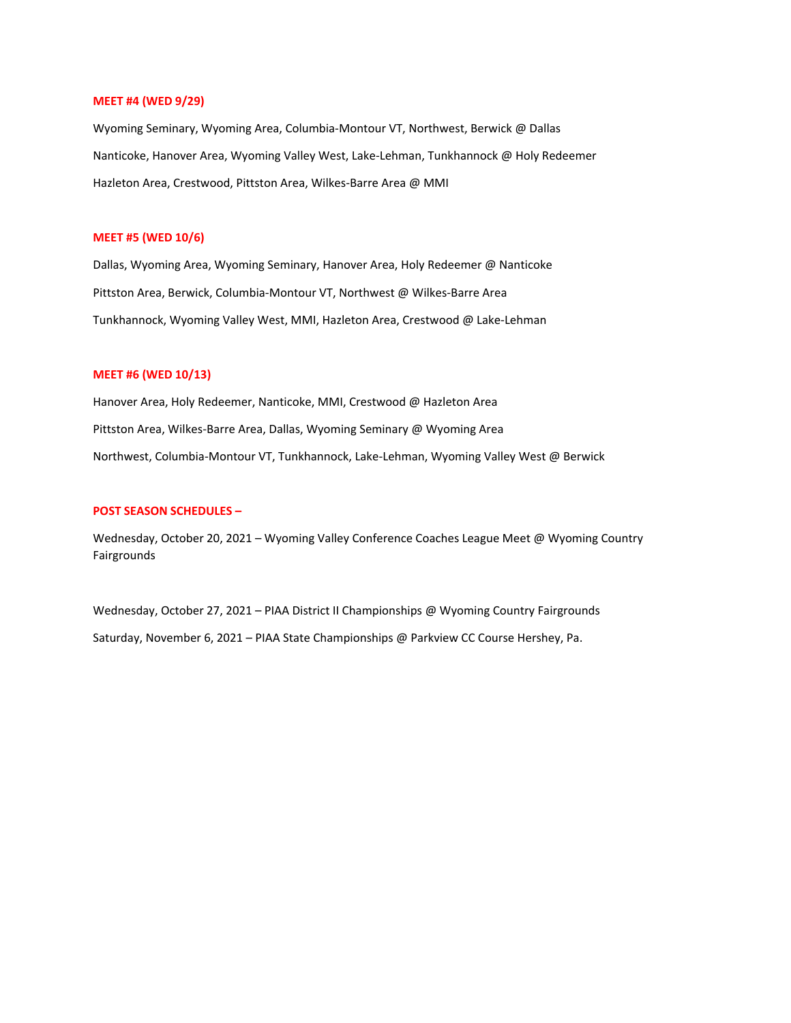#### **MEET #4 (WED 9/29)**

Wyoming Seminary, Wyoming Area, Columbia-Montour VT, Northwest, Berwick @ Dallas Nanticoke, Hanover Area, Wyoming Valley West, Lake-Lehman, Tunkhannock @ Holy Redeemer Hazleton Area, Crestwood, Pittston Area, Wilkes-Barre Area @ MMI

#### **MEET #5 (WED 10/6)**

Dallas, Wyoming Area, Wyoming Seminary, Hanover Area, Holy Redeemer @ Nanticoke Pittston Area, Berwick, Columbia‐Montour VT, Northwest @ Wilkes‐Barre Area Tunkhannock, Wyoming Valley West, MMI, Hazleton Area, Crestwood @ Lake‐Lehman

#### **MEET #6 (WED 10/13)**

Hanover Area, Holy Redeemer, Nanticoke, MMI, Crestwood @ Hazleton Area Pittston Area, Wilkes-Barre Area, Dallas, Wyoming Seminary @ Wyoming Area Northwest, Columbia‐Montour VT, Tunkhannock, Lake‐Lehman, Wyoming Valley West @ Berwick

#### **POST SEASON SCHEDULES –**

Wednesday, October 20, 2021 – Wyoming Valley Conference Coaches League Meet @ Wyoming Country Fairgrounds

Wednesday, October 27, 2021 – PIAA District II Championships @ Wyoming Country Fairgrounds Saturday, November 6, 2021 – PIAA State Championships @ Parkview CC Course Hershey, Pa.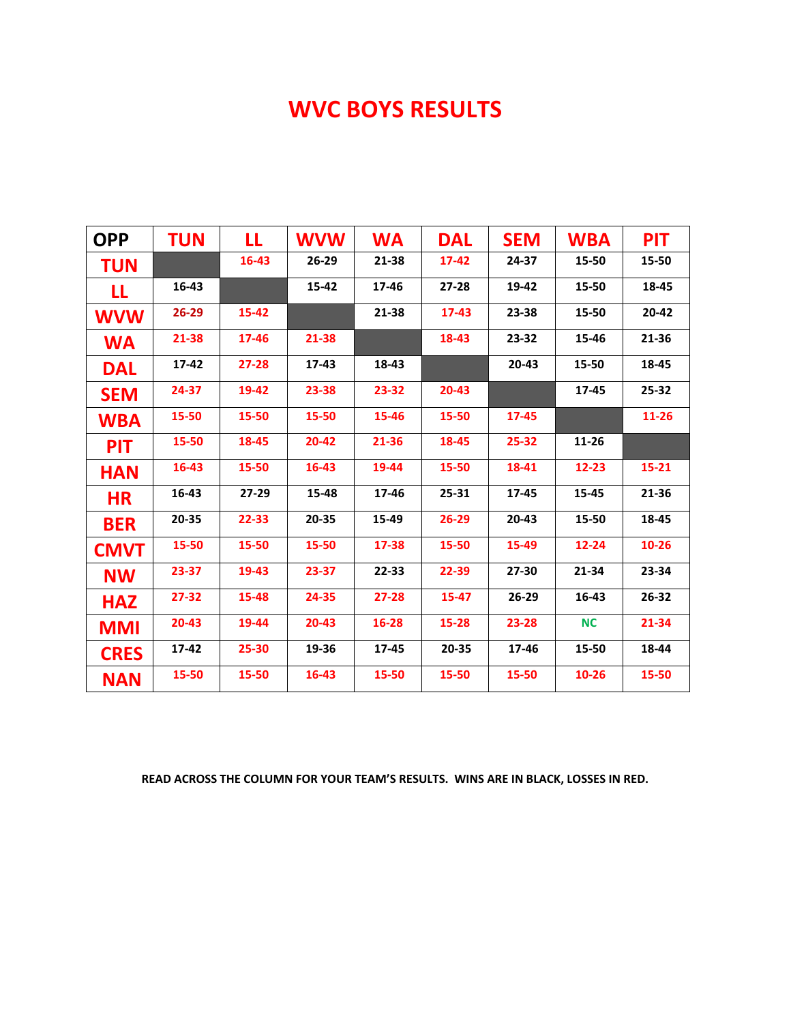## **WVC BOYS RESULTS**

| <b>TUN</b> | LL        | <b>WVW</b> | <b>WA</b> | <b>DAL</b> | <b>SEM</b> | <b>WBA</b> | <b>PIT</b> |
|------------|-----------|------------|-----------|------------|------------|------------|------------|
|            | 16-43     | $26 - 29$  | 21-38     | $17 - 42$  | 24-37      | 15-50      | 15-50      |
| 16-43      |           | 15-42      | 17-46     | $27 - 28$  | 19-42      | 15-50      | 18-45      |
| 26-29      | 15-42     |            | 21-38     | $17 - 43$  | 23-38      | 15-50      | 20-42      |
| 21-38      | 17-46     | 21-38      |           | 18-43      | 23-32      | 15-46      | 21-36      |
| 17-42      | $27 - 28$ | 17-43      | 18-43     |            | 20-43      | 15-50      | 18-45      |
| 24-37      | 19-42     | 23-38      | 23-32     | 20-43      |            | 17-45      | 25-32      |
| 15-50      | 15-50     | 15-50      | 15-46     | 15-50      | 17-45      |            | $11 - 26$  |
| 15-50      | 18-45     | 20-42      | 21-36     | 18-45      | 25-32      | 11-26      |            |
| 16-43      | 15-50     | 16-43      | 19-44     | 15-50      | 18-41      | 12-23      | $15 - 21$  |
| 16-43      | 27-29     | 15-48      | 17-46     | 25-31      | 17-45      | 15-45      | 21-36      |
| 20-35      | 22-33     | 20-35      | 15-49     | 26-29      | 20-43      | 15-50      | 18-45      |
| 15-50      | 15-50     | 15-50      | 17-38     | 15-50      | 15-49      | 12-24      | $10 - 26$  |
| 23-37      | 19-43     | 23-37      | 22-33     | 22-39      | 27-30      | 21-34      | 23-34      |
| 27-32      | 15-48     | 24-35      | $27 - 28$ | 15-47      | 26-29      | 16-43      | 26-32      |
| 20-43      | 19-44     | $20 - 43$  | 16-28     | 15-28      | 23-28      | <b>NC</b>  | 21-34      |
| 17-42      | 25-30     | 19-36      | 17-45     | 20-35      | 17-46      | 15-50      | 18-44      |
| 15-50      | 15-50     | $16 - 43$  | 15-50     | 15-50      | 15-50      | 10-26      | 15-50      |
|            |           |            |           |            |            |            |            |

**READ ACROSS THE COLUMN FOR YOUR TEAM'S RESULTS. WINS ARE IN BLACK, LOSSES IN RED.**